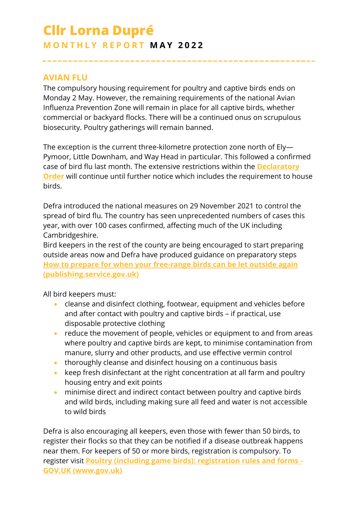# **Cllr Lorna Dupré M O N T H L Y R E P O R T M A Y 2 0 2 2**

#### **AVIAN FLU**

The compulsory housing requirement for poultry and captive birds ends on Monday 2 May. However, the remaining requirements of the national Avian Influenza Prevention Zone will remain in place for all captive birds, whether commercial or backyard flocks. There will be a continued onus on scrupulous biosecurity. Poultry gatherings will remain banned.

The exception is the current three-kilometre protection zone north of Ely— Pymoor, Little Downham, and Way Head in particular. This followed a confirmed case of bird flu last month. The extensive restrictions within the **[Declaratory](http://tracking.cambridgeshire.gov.uk/tracking/click?d=nbp1xN8aiRPN0WilrZMClIOSQjF7vOkRAqjgjANW9AFpXCPMpm4ewxx6ZWCdDcu1oDkmY8o4N3aQAwURbHnh8Hp6XwsbgcHWQQQPxU2a9lDzJn3lUIPmzG6m06mLYwKdx9SfP7Xhs_WUZJltORwi8V5MnLxgdoujsTO1pKd7fK-yCZueUu8cY90xTDa1r_oUgns73V6LdnTqt98RCp5RNDKJbkeRj3Z0auvonLndRc_SrkYFIntzwVe3IbhxZRFmeby-FxEs2vqzUO1yvaIO0gpwTfEpg7pQMR9209nqbCDAxy7I9I5saI5ommcTUUFK9g2)  [Order](http://tracking.cambridgeshire.gov.uk/tracking/click?d=nbp1xN8aiRPN0WilrZMClIOSQjF7vOkRAqjgjANW9AFpXCPMpm4ewxx6ZWCdDcu1oDkmY8o4N3aQAwURbHnh8Hp6XwsbgcHWQQQPxU2a9lDzJn3lUIPmzG6m06mLYwKdx9SfP7Xhs_WUZJltORwi8V5MnLxgdoujsTO1pKd7fK-yCZueUu8cY90xTDa1r_oUgns73V6LdnTqt98RCp5RNDKJbkeRj3Z0auvonLndRc_SrkYFIntzwVe3IbhxZRFmeby-FxEs2vqzUO1yvaIO0gpwTfEpg7pQMR9209nqbCDAxy7I9I5saI5ommcTUUFK9g2)** will continue until further notice which includes the requirement to house birds.

Defra introduced the national measures on 29 November 2021 to control the spread of bird flu. The country has seen unprecedented numbers of cases this year, with over 100 cases confirmed, affecting much of the UK including Cambridgeshire.

Bird keepers in the rest of the county are being encouraged to start preparing outside areas now and Defra have produced guidance on preparatory steps **[How to prepare for when your free-range birds can be let outside again](https://assets.publishing.service.gov.uk/government/uploads/system/uploads/attachment_data/file/1071039/Avian_Influenza__AI__-_advice-to-poultry-keepers-preparing-range_2022.pdf)  [\(publishing.service.gov.uk\)](https://assets.publishing.service.gov.uk/government/uploads/system/uploads/attachment_data/file/1071039/Avian_Influenza__AI__-_advice-to-poultry-keepers-preparing-range_2022.pdf)**

All bird keepers must:

- cleanse and disinfect clothing, footwear, equipment and vehicles before and after contact with poultry and captive birds – if practical, use disposable protective clothing
- reduce the movement of people, vehicles or equipment to and from areas where poultry and captive birds are kept, to minimise contamination from manure, slurry and other products, and use effective vermin control
- thoroughly cleanse and disinfect housing on a continuous basis
- keep fresh disinfectant at the right concentration at all farm and poultry housing entry and exit points
- minimise direct and indirect contact between poultry and captive birds and wild birds, including making sure all feed and water is not accessible to wild birds

Defra is also encouraging all keepers, even those with fewer than 50 birds, to register their flocks so that they can be notified if a disease outbreak happens near them. For keepers of 50 or more birds, registration is compulsory. To register visit **[Poultry \(including game birds\): registration rules and forms -](https://www.gov.uk/government/publications/poultry-including-game-birds-registration-rules-and-forms) [GOV.UK \(www.gov.uk\)](https://www.gov.uk/government/publications/poultry-including-game-birds-registration-rules-and-forms)**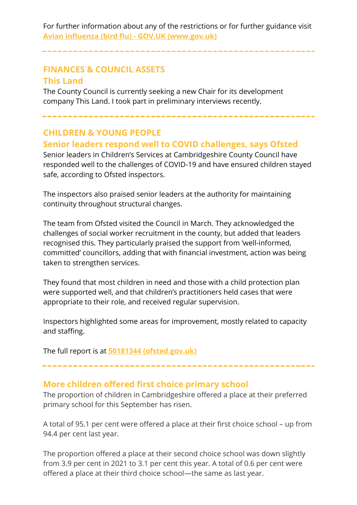For further information about any of the restrictions or for further guidance visit **[Avian influenza \(bird flu\) -](https://www.gov.uk/guidance/avian-influenza-bird-flu#latest-situation) GOV.UK (www.gov.uk)**

# **FINANCES & COUNCIL ASSETS This Land**

The County Council is currently seeking a new Chair for its development company This Land. I took part in preliminary interviews recently.

# **CHILDREN & YOUNG PEOPLE**

# **Senior leaders respond well to COVID challenges, says Ofsted**

Senior leaders in Children's Services at Cambridgeshire County Council have responded well to the challenges of COVID-19 and have ensured children stayed safe, according to Ofsted inspectors.

The inspectors also praised senior leaders at the authority for maintaining continuity throughout structural changes.

The team from Ofsted visited the Council in March. They acknowledged the challenges of social worker recruitment in the county, but added that leaders recognised this. They particularly praised the support from 'well-informed, committed' councillors, adding that with financial investment, action was being taken to strengthen services.

They found that most children in need and those with a child protection plan were supported well, and that children's practitioners held cases that were appropriate to their role, and received regular supervision.

Inspectors highlighted some areas for improvement, mostly related to capacity and staffing.

The full report is at **[50181344 \(ofsted.gov.uk\)](https://files.ofsted.gov.uk/v1/file/50181344)**

# **More children offered first choice primary school**

The proportion of children in Cambridgeshire offered a place at their preferred primary school for this September has risen.

A total of 95.1 per cent were offered a place at their first choice school – up from 94.4 per cent last year.

The proportion offered a place at their second choice school was down slightly from 3.9 per cent in 2021 to 3.1 per cent this year. A total of 0.6 per cent were offered a place at their third choice school—the same as last year.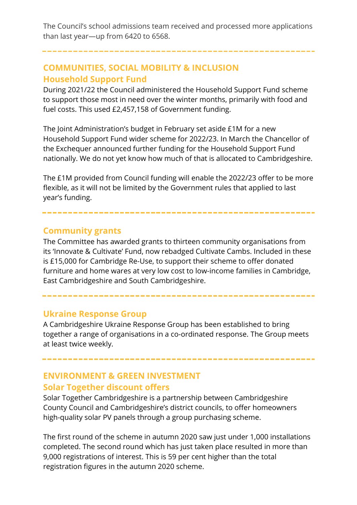The Council's school admissions team received and processed more applications than last year—up from 6420 to 6568.

# **COMMUNITIES, SOCIAL MOBILITY & INCLUSION Household Support Fund**

During 2021/22 the Council administered the Household Support Fund scheme to support those most in need over the winter months, primarily with food and fuel costs. This used £2,457,158 of Government funding.

The Joint Administration's budget in February set aside £1M for a new Household Support Fund wider scheme for 2022/23. In March the Chancellor of the Exchequer announced further funding for the Household Support Fund nationally. We do not yet know how much of that is allocated to Cambridgeshire.

The £1M provided from Council funding will enable the 2022/23 offer to be more flexible, as it will not be limited by the Government rules that applied to last year's funding.

### **Community grants**

The Committee has awarded grants to thirteen community organisations from its 'Innovate & Cultivate' Fund, now rebadged Cultivate Cambs. Included in these is £15,000 for Cambridge Re-Use, to support their scheme to offer donated furniture and home wares at very low cost to low-income families in Cambridge, East Cambridgeshire and South Cambridgeshire.

#### **Ukraine Response Group**

A Cambridgeshire Ukraine Response Group has been established to bring together a range of organisations in a co-ordinated response. The Group meets at least twice weekly.

# **ENVIRONMENT & GREEN INVESTMENT Solar Together discount offers**

Solar Together Cambridgeshire is a partnership between Cambridgeshire County Council and Cambridgeshire's district councils, to offer homeowners high-quality solar PV panels through a group purchasing scheme.

The first round of the scheme in autumn 2020 saw just under 1,000 installations completed. The second round which has just taken place resulted in more than 9,000 registrations of interest. This is 59 per cent higher than the total registration figures in the autumn 2020 scheme.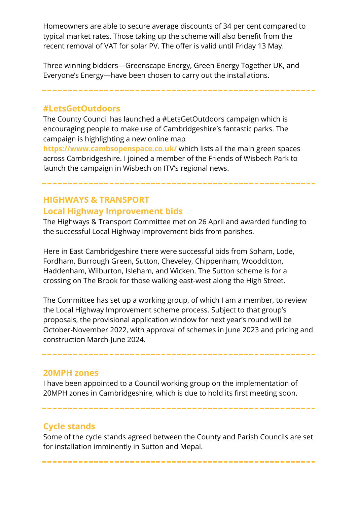Homeowners are able to secure average discounts of 34 per cent compared to typical market rates. Those taking up the scheme will also benefit from the recent removal of VAT for solar PV. The offer is valid until Friday 13 May.

Three winning bidders—Greenscape Energy, Green Energy Together UK, and Everyone's Energy—have been chosen to carry out the installations.

----------

**#LetsGetOutdoors**

The County Council has launched a #LetsGetOutdoors campaign which is encouraging people to make use of Cambridgeshire's fantastic parks. The campaign is highlighting a new online map

**<https://www.cambsopenspace.co.uk/>** which lists all the main green spaces across Cambridgeshire. I joined a member of the Friends of Wisbech Park to launch the campaign in Wisbech on ITV's regional news.

**HIGHWAYS & TRANSPORT Local Highway Improvement bids**

The Highways & Transport Committee met on 26 April and awarded funding to the successful Local Highway Improvement bids from parishes.

Here in East Cambridgeshire there were successful bids from Soham, Lode, Fordham, Burrough Green, Sutton, Cheveley, Chippenham, Woodditton, Haddenham, Wilburton, Isleham, and Wicken. The Sutton scheme is for a crossing on The Brook for those walking east-west along the High Street.

The Committee has set up a working group, of which I am a member, to review the Local Highway Improvement scheme process. Subject to that group's proposals, the provisional application window for next year's round will be October-November 2022, with approval of schemes in June 2023 and pricing and construction March-June 2024.

#### **20MPH zones**

I have been appointed to a Council working group on the implementation of 20MPH zones in Cambridgeshire, which is due to hold its first meeting soon.

# **Cycle stands**

Some of the cycle stands agreed between the County and Parish Councils are set for installation imminently in Sutton and Mepal.